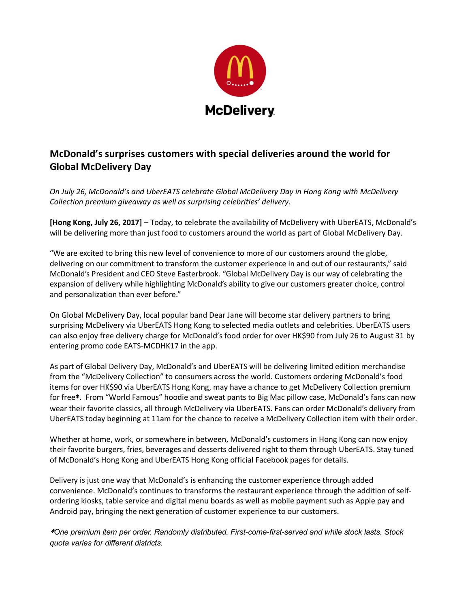

## **McDonald's surprises customers with special deliveries around the world for Global McDelivery Day**

*On July 26, McDonald's and UberEATS celebrate Global McDelivery Day in Hong Kong with McDelivery Collection premium giveaway as well as surprising celebrities' delivery.* 

**[Hong Kong, July 26, 2017]** – Today, to celebrate the availability of McDelivery with UberEATS, McDonald's will be delivering more than just food to customers around the world as part of Global McDelivery Day.

"We are excited to bring this new level of convenience to more of our customers around the globe, delivering on our commitment to transform the customer experience in and out of our restaurants," said McDonald's President and CEO Steve Easterbrook. "Global McDelivery Day is our way of celebrating the expansion of delivery while highlighting McDonald's ability to give our customers greater choice, control and personalization than ever before."

On Global McDelivery Day, local popular band Dear Jane will become star delivery partners to bring surprising McDelivery via UberEATS Hong Kong to selected media outlets and celebrities. UberEATS users can also enjoy free delivery charge for McDonald's food order for over HK\$90 from July 26 to August 31 by entering promo code EATS-MCDHK17 in the app.

As part of Global Delivery Day, McDonald's and UberEATS will be delivering limited edition merchandise from the "McDelivery Collection" to consumers across the world. Customers ordering McDonald's food items for over HK\$90 via UberEATS Hong Kong, may have a chance to get McDelivery Collection premium for free\*. From "World Famous" hoodie and sweat pants to Big Mac pillow case, McDonald's fans can now wear their favorite classics, all through McDelivery via UberEATS. Fans can order McDonald's delivery from UberEATS today beginning at 11am for the chance to receive a McDelivery Collection item with their order.

Whether at home, work, or somewhere in between, McDonald's customers in Hong Kong can now enjoy their favorite burgers, fries, beverages and desserts delivered right to them through UberEATS. Stay tuned of McDonald's Hong Kong and UberEATS Hong Kong official Facebook pages for details.

Delivery is just one way that McDonald's is enhancing the customer experience through added convenience. McDonald's continues to transforms the restaurant experience through the addition of selfordering kiosks, table service and digital menu boards as well as mobile payment such as Apple pay and Android pay, bringing the next generation of customer experience to our customers.

\**One premium item per order. Randomly distributed. First-come-first-served and while stock lasts. Stock quota varies for different districts.*